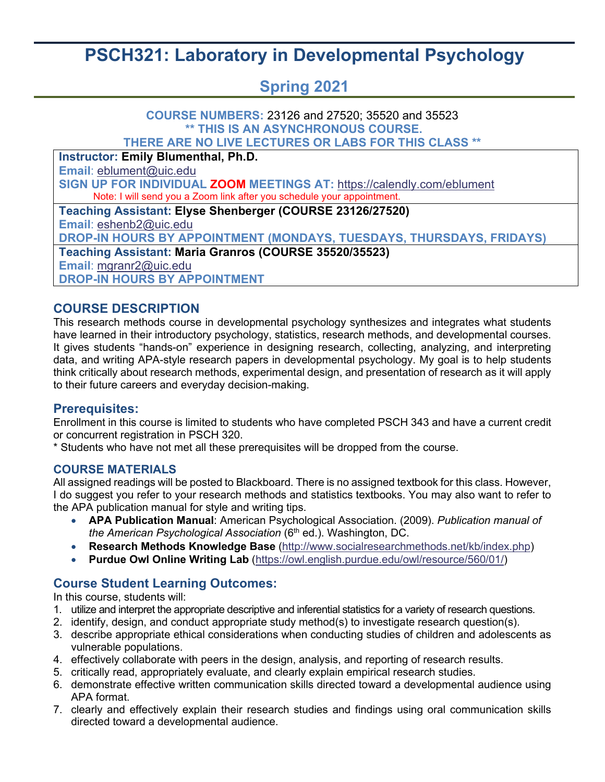# **PSCH321: Laboratory in Developmental Psychology**

## **Spring 2021**

### **COURSE NUMBERS:** 23126 and 27520; 35520 and 35523 **\*\* THIS IS AN ASYNCHRONOUS COURSE. THERE ARE NO LIVE LECTURES OR LABS FOR THIS CLASS \*\* Instructor: Emily Blumenthal, Ph.D. Email**: [eblument@uic.edu](mailto:eblument@uic.edu) **SIGN UP FOR INDIVIDUAL ZOOM MEETINGS AT:** <https://calendly.com/eblument> Note: I will send you a Zoom link after you schedule your appointment. **Teaching Assistant: Elyse Shenberger (COURSE 23126/27520) Email**: [eshenb2@uic.edu](mailto:eshenb2@uic.edu) **DROP-IN HOURS BY APPOINTMENT (MONDAYS, TUESDAYS, THURSDAYS, FRIDAYS) Teaching Assistant: Maria Granros (COURSE 35520/35523) Email**: [mgranr2@uic.edu](mailto:mgranr2@uic.edu)

**DROP-IN HOURS BY APPOINTMENT**

### **COURSE DESCRIPTION**

This research methods course in developmental psychology synthesizes and integrates what students have learned in their introductory psychology, statistics, research methods, and developmental courses. It gives students "hands-on" experience in designing research, collecting, analyzing, and interpreting data, and writing APA-style research papers in developmental psychology. My goal is to help students think critically about research methods, experimental design, and presentation of research as it will apply to their future careers and everyday decision-making.

### **Prerequisites:**

Enrollment in this course is limited to students who have completed PSCH 343 and have a current credit or concurrent registration in PSCH 320.

\* Students who have not met all these prerequisites will be dropped from the course.

### **COURSE MATERIALS**

All assigned readings will be posted to Blackboard. There is no assigned textbook for this class. However, I do suggest you refer to your research methods and statistics textbooks. You may also want to refer to the APA publication manual for style and writing tips.

- **APA Publication Manual**: American Psychological Association. (2009). *Publication manual of the American Psychological Association* (6<sup>th</sup> ed.). Washington, DC.
- **Research Methods Knowledge Base** [\(http://www.socialresearchmethods.net/kb/index.php\)](http://www.socialresearchmethods.net/kb/index.php)
- **Purdue Owl Online Writing Lab** [\(https://owl.english.purdue.edu/owl/resource/560/01/\)](https://owl.english.purdue.edu/owl/resource/560/01/)

### **Course Student Learning Outcomes:**

In this course, students will:

- 1. utilize and interpret the appropriate descriptive and inferential statistics for a variety of research questions.
- 2. identify, design, and conduct appropriate study method(s) to investigate research question(s).
- 3. describe appropriate ethical considerations when conducting studies of children and adolescents as vulnerable populations.
- 4. effectively collaborate with peers in the design, analysis, and reporting of research results.
- 5. critically read, appropriately evaluate, and clearly explain empirical research studies.
- 6. demonstrate effective written communication skills directed toward a developmental audience using APA format.
- 7. clearly and effectively explain their research studies and findings using oral communication skills directed toward a developmental audience.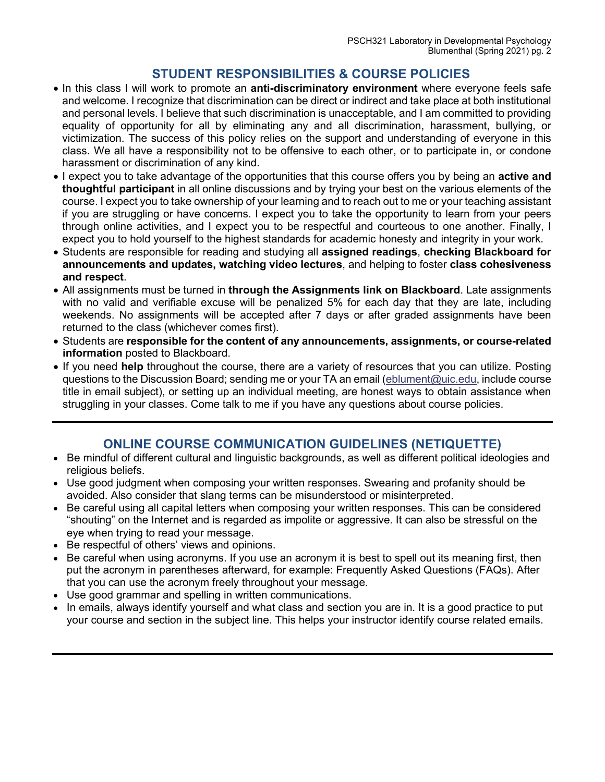### **STUDENT RESPONSIBILITIES & COURSE POLICIES**

- In this class I will work to promote an **anti-discriminatory environment** where everyone feels safe and welcome. I recognize that discrimination can be direct or indirect and take place at both institutional and personal levels. I believe that such discrimination is unacceptable, and I am committed to providing equality of opportunity for all by eliminating any and all discrimination, harassment, bullying, or victimization. The success of this policy relies on the support and understanding of everyone in this class. We all have a responsibility not to be offensive to each other, or to participate in, or condone harassment or discrimination of any kind.
- I expect you to take advantage of the opportunities that this course offers you by being an **active and thoughtful participant** in all online discussions and by trying your best on the various elements of the course. I expect you to take ownership of your learning and to reach out to me or your teaching assistant if you are struggling or have concerns. I expect you to take the opportunity to learn from your peers through online activities, and I expect you to be respectful and courteous to one another. Finally, I expect you to hold yourself to the highest standards for academic honesty and integrity in your work.
- Students are responsible for reading and studying all **assigned readings**, **checking Blackboard for announcements and updates, watching video lectures**, and helping to foster **class cohesiveness and respect**.
- All assignments must be turned in **through the Assignments link on Blackboard**. Late assignments with no valid and verifiable excuse will be penalized 5% for each day that they are late, including weekends. No assignments will be accepted after 7 days or after graded assignments have been returned to the class (whichever comes first).
- Students are **responsible for the content of any announcements, assignments, or course-related information** posted to Blackboard.
- If you need **help** throughout the course, there are a variety of resources that you can utilize. Posting questions to the Discussion Board; sending me or your TA an email [\(eblument@uic.edu,](mailto:eblument@uic.edu)) include course title in email subject), or setting up an individual meeting, are honest ways to obtain assistance when struggling in your classes. Come talk to me if you have any questions about course policies.

### **ONLINE COURSE COMMUNICATION GUIDELINES (NETIQUETTE)**

- Be mindful of different cultural and linguistic backgrounds, as well as different political ideologies and religious beliefs.
- Use good judgment when composing your written responses. Swearing and profanity should be avoided. Also consider that slang terms can be misunderstood or misinterpreted.
- Be careful using all capital letters when composing your written responses. This can be considered "shouting" on the Internet and is regarded as impolite or aggressive. It can also be stressful on the eye when trying to read your message.
- Be respectful of others' views and opinions.
- Be careful when using acronyms. If you use an acronym it is best to spell out its meaning first, then put the acronym in parentheses afterward, for example: Frequently Asked Questions (FAQs). After that you can use the acronym freely throughout your message.
- Use good grammar and spelling in written communications.
- In emails, always identify yourself and what class and section you are in. It is a good practice to put your course and section in the subject line. This helps your instructor identify course related emails.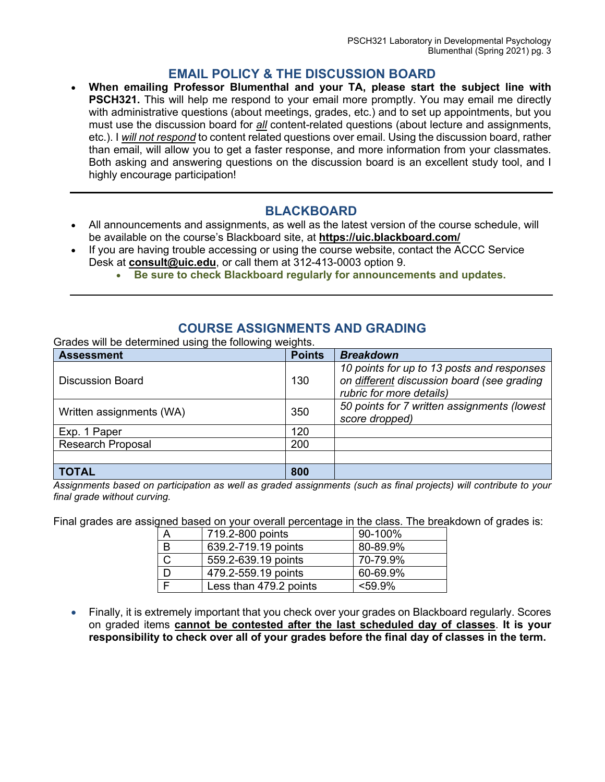### **EMAIL POLICY & THE DISCUSSION BOARD**

• **When emailing Professor Blumenthal and your TA, please start the subject line with PSCH321.** This will help me respond to your email more promptly. You may email me directly with administrative questions (about meetings, grades, etc.) and to set up appointments, but you must use the discussion board for *all* content-related questions (about lecture and assignments, etc.). I *will not respond* to content related questions over email. Using the discussion board, rather than email, will allow you to get a faster response, and more information from your classmates. Both asking and answering questions on the discussion board is an excellent study tool, and I highly encourage participation!

### **BLACKBOARD**

- All announcements and assignments, as well as the latest version of the course schedule, will be available on the course's Blackboard site, at **<https://uic.blackboard.com/>**
- If you are having trouble accessing or using the course website, contact the ACCC Service Desk at **[consult@uic.edu](mailto:consult@uic.edu)**, or call them at 312-413-0003 option 9.
	- **Be sure to check Blackboard regularly for announcements and updates.**

### **COURSE ASSIGNMENTS AND GRADING**

Grades will be determined using the following weights.

| <b>Assessment</b>        | <b>Points</b> | <b>Breakdown</b>                                                                                                     |
|--------------------------|---------------|----------------------------------------------------------------------------------------------------------------------|
| Discussion Board         | 130           | 10 points for up to 13 posts and responses<br>on different discussion board (see grading<br>rubric for more details) |
| Written assignments (WA) | 350           | 50 points for 7 written assignments (lowest<br>score dropped)                                                        |
| Exp. 1 Paper             | 120           |                                                                                                                      |
| <b>Research Proposal</b> | 200           |                                                                                                                      |
|                          |               |                                                                                                                      |
| <b>TOTAL</b>             | 800           |                                                                                                                      |

*Assignments based on participation as well as graded assignments (such as final projects) will contribute to your final grade without curving.* 

Final grades are assigned based on your overall percentage in the class. The breakdown of grades is:

| $\overline{\mathsf{A}}$ | 719.2-800 points       | 90-100%   |
|-------------------------|------------------------|-----------|
| B                       | 639.2-719.19 points    | 80-89.9%  |
| $\mathsf C$             | 559.2-639.19 points    | 70-79.9%  |
| D                       | 479.2-559.19 points    | 60-69.9%  |
|                         | Less than 479.2 points | $<$ 59.9% |

• Finally, it is extremely important that you check over your grades on Blackboard regularly. Scores on graded items **cannot be contested after the last scheduled day of classes**. **It is your responsibility to check over all of your grades before the final day of classes in the term.**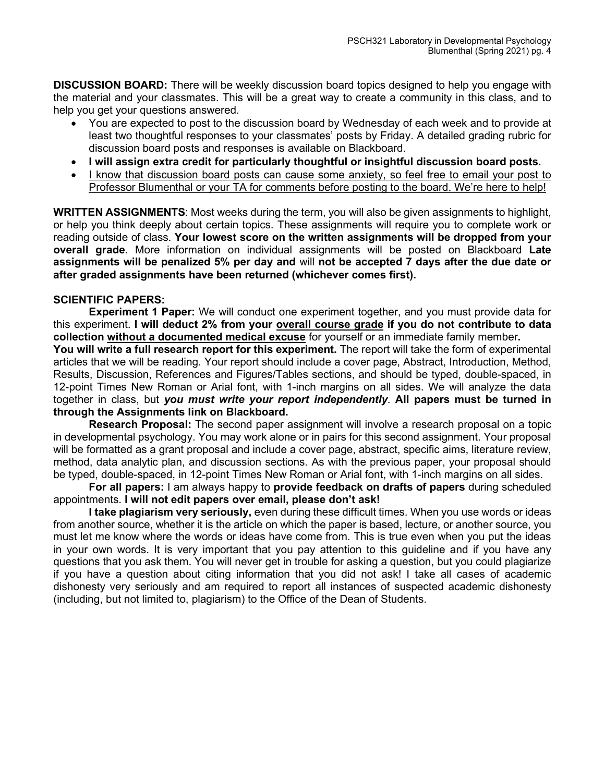**DISCUSSION BOARD:** There will be weekly discussion board topics designed to help you engage with the material and your classmates. This will be a great way to create a community in this class, and to help you get your questions answered.

- You are expected to post to the discussion board by Wednesday of each week and to provide at least two thoughtful responses to your classmates' posts by Friday. A detailed grading rubric for discussion board posts and responses is available on Blackboard.
- **I will assign extra credit for particularly thoughtful or insightful discussion board posts.**
- I know that discussion board posts can cause some anxiety, so feel free to email your post to Professor Blumenthal or your TA for comments before posting to the board. We're here to help!

**WRITTEN ASSIGNMENTS**: Most weeks during the term, you will also be given assignments to highlight, or help you think deeply about certain topics. These assignments will require you to complete work or reading outside of class. **Your lowest score on the written assignments will be dropped from your overall grade**. More information on individual assignments will be posted on Blackboard **Late assignments will be penalized 5% per day and** will **not be accepted 7 days after the due date or after graded assignments have been returned (whichever comes first).**

#### **SCIENTIFIC PAPERS:**

**Experiment 1 Paper:** We will conduct one experiment together, and you must provide data for this experiment. **I will deduct 2% from your overall course grade if you do not contribute to data collection without a documented medical excuse** for yourself or an immediate family member**.** 

**You will write a full research report for this experiment.** The report will take the form of experimental articles that we will be reading. Your report should include a cover page, Abstract, Introduction, Method, Results, Discussion, References and Figures/Tables sections, and should be typed, double-spaced, in 12-point Times New Roman or Arial font, with 1-inch margins on all sides. We will analyze the data together in class, but *you must write your report independently*. **All papers must be turned in through the Assignments link on Blackboard.**

**Research Proposal:** The second paper assignment will involve a research proposal on a topic in developmental psychology. You may work alone or in pairs for this second assignment. Your proposal will be formatted as a grant proposal and include a cover page, abstract, specific aims, literature review, method, data analytic plan, and discussion sections. As with the previous paper, your proposal should be typed, double-spaced, in 12-point Times New Roman or Arial font, with 1-inch margins on all sides.

**For all papers:** I am always happy to **provide feedback on drafts of papers** during scheduled appointments. **I will not edit papers over email, please don't ask!** 

**I take plagiarism very seriously,** even during these difficult times. When you use words or ideas from another source, whether it is the article on which the paper is based, lecture, or another source, you must let me know where the words or ideas have come from. This is true even when you put the ideas in your own words. It is very important that you pay attention to this guideline and if you have any questions that you ask them. You will never get in trouble for asking a question, but you could plagiarize if you have a question about citing information that you did not ask! I take all cases of academic dishonesty very seriously and am required to report all instances of suspected academic dishonesty (including, but not limited to, plagiarism) to the Office of the Dean of Students.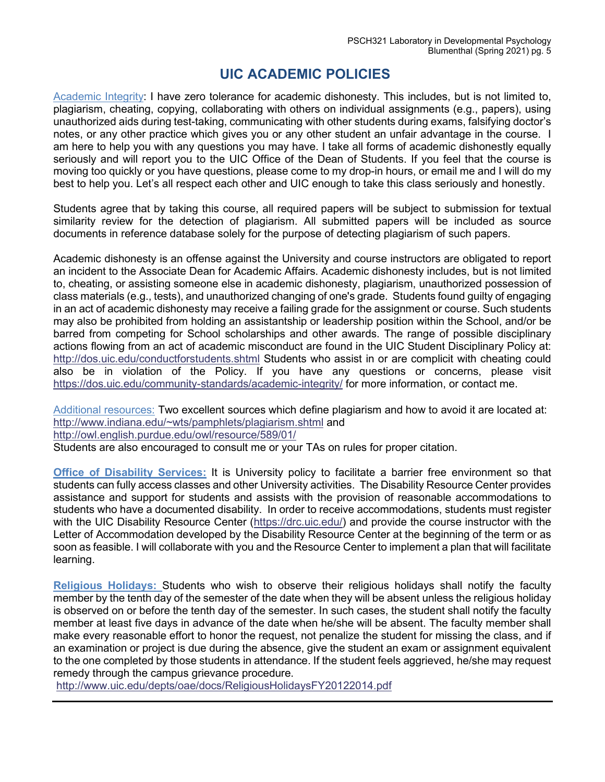### **UIC ACADEMIC POLICIES**

Academic Integrity: I have zero tolerance for academic dishonesty. This includes, but is not limited to, plagiarism, cheating, copying, collaborating with others on individual assignments (e.g., papers), using unauthorized aids during test-taking, communicating with other students during exams, falsifying doctor's notes, or any other practice which gives you or any other student an unfair advantage in the course. I am here to help you with any questions you may have. I take all forms of academic dishonestly equally seriously and will report you to the UIC Office of the Dean of Students. If you feel that the course is moving too quickly or you have questions, please come to my drop-in hours, or email me and I will do my best to help you. Let's all respect each other and UIC enough to take this class seriously and honestly.

Students agree that by taking this course, all required papers will be subject to submission for textual similarity review for the detection of plagiarism. All submitted papers will be included as source documents in reference database solely for the purpose of detecting plagiarism of such papers.

Academic dishonesty is an offense against the University and course instructors are obligated to report an incident to the Associate Dean for Academic Affairs. Academic dishonesty includes, but is not limited to, cheating, or assisting someone else in academic dishonesty, plagiarism, unauthorized possession of class materials (e.g., tests), and unauthorized changing of one's grade. Students found guilty of engaging in an act of academic dishonesty may receive a failing grade for the assignment or course. Such students may also be prohibited from holding an assistantship or leadership position within the School, and/or be barred from competing for School scholarships and other awards. The range of possible disciplinary actions flowing from an act of academic misconduct are found in the UIC Student Disciplinary Policy at: <http://dos.uic.edu/conductforstudents.shtml> Students who assist in or are complicit with cheating could also be in violation of the Policy. If you have any questions or concerns, please visit <https://dos.uic.edu/community-standards/academic-integrity/> for more information, or contact me.

Additional resources: Two excellent sources which define plagiarism and how to avoid it are located at: [http://www.indiana.edu/~wts/pamphlets/plagiarism.shtml](http://www.indiana.edu/%7Ewts/pamphlets/plagiarism.shtml) and <http://owl.english.purdue.edu/owl/resource/589/01/>

Students are also encouraged to consult me or your TAs on rules for proper citation.

**Office of Disability Services:** It is University policy to facilitate a barrier free environment so that students can fully access classes and other University activities. The Disability Resource Center provides assistance and support for students and assists with the provision of reasonable accommodations to students who have a documented disability. In order to receive accommodations, students must register with the UIC Disability Resource Center [\(https://drc.uic.edu/\)](https://drc.uic.edu/) and provide the course instructor with the Letter of Accommodation developed by the Disability Resource Center at the beginning of the term or as soon as feasible. I will collaborate with you and the Resource Center to implement a plan that will facilitate learning.

**Religious Holidays:** Students who wish to observe their religious holidays shall notify the faculty member by the tenth day of the semester of the date when they will be absent unless the religious holiday is observed on or before the tenth day of the semester. In such cases, the student shall notify the faculty member at least five days in advance of the date when he/she will be absent. The faculty member shall make every reasonable effort to honor the request, not penalize the student for missing the class, and if an examination or project is due during the absence, give the student an exam or assignment equivalent to the one completed by those students in attendance. If the student feels aggrieved, he/she may request remedy through the campus grievance procedure.

<http://www.uic.edu/depts/oae/docs/ReligiousHolidaysFY20122014.pdf>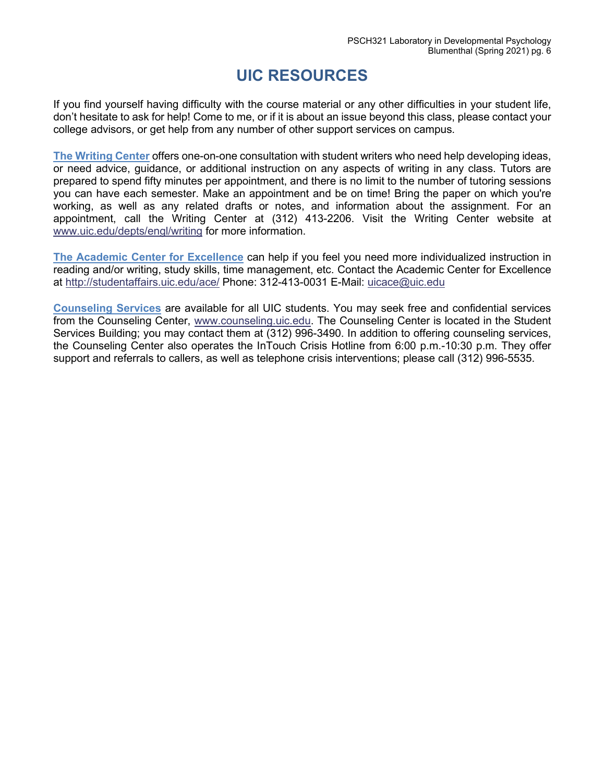## **UIC RESOURCES**

If you find yourself having difficulty with the course material or any other difficulties in your student life, don't hesitate to ask for help! Come to me, or if it is about an issue beyond this class, please contact your college advisors, or get help from any number of other support services on campus.

**The Writing Center** offers one-on-one consultation with student writers who need help developing ideas, or need advice, guidance, or additional instruction on any aspects of writing in any class. Tutors are prepared to spend fifty minutes per appointment, and there is no limit to the number of tutoring sessions you can have each semester. Make an appointment and be on time! Bring the paper on which you're working, as well as any related drafts or notes, and information about the assignment. For an appointment, call the Writing Center at (312) 413-2206. Visit the Writing Center website at [www.uic.edu/depts/engl/writing](http://www.uic.edu/depts/engl/writing) for more information.

**The Academic Center for Excellence** can help if you feel you need more individualized instruction in reading and/or writing, study skills, time management, etc. Contact the Academic Center for Excellence at <http://studentaffairs.uic.edu/ace/> Phone: 312-413-0031 E-Mail: [uicace@uic.edu](mailto:uicace@uic.edu)

**Counseling Services** are available for all UIC students. You may seek free and confidential services from the Counseling Center, [www.counseling.uic.edu.](http://www.counseling.uic.edu/) The Counseling Center is located in the Student Services Building; you may contact them at (312) 996-3490. In addition to offering counseling services, the Counseling Center also operates the InTouch Crisis Hotline from 6:00 p.m.-10:30 p.m. They offer support and referrals to callers, as well as telephone crisis interventions; please call (312) 996-5535.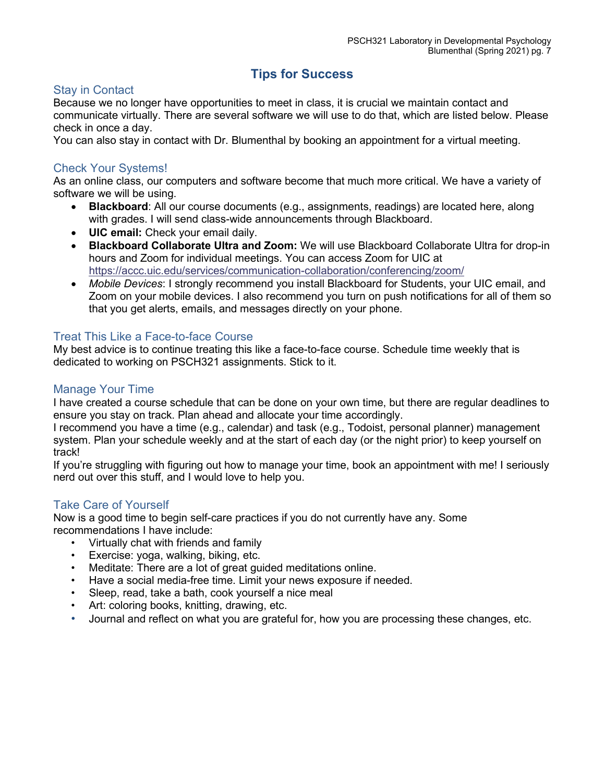### **Tips for Success**

### Stay in Contact

Because we no longer have opportunities to meet in class, it is crucial we maintain contact and communicate virtually. There are several software we will use to do that, which are listed below. Please check in once a day.

You can also stay in contact with Dr. Blumenthal by booking an appointment for a virtual meeting.

#### Check Your Systems!

As an online class, our computers and software become that much more critical. We have a variety of software we will be using.

- **Blackboard**: All our course documents (e.g., assignments, readings) are located here, along with grades. I will send class-wide announcements through Blackboard.
- **UIC email:** Check your email daily.
- **Blackboard Collaborate Ultra and Zoom:** We will use Blackboard Collaborate Ultra for drop-in hours and Zoom for individual meetings. You can access Zoom for UIC at <https://accc.uic.edu/services/communication-collaboration/conferencing/zoom/>
- *Mobile Devices*: I strongly recommend you install Blackboard for Students, your UIC email, and Zoom on your mobile devices. I also recommend you turn on push notifications for all of them so that you get alerts, emails, and messages directly on your phone.

#### Treat This Like a Face-to-face Course

My best advice is to continue treating this like a face-to-face course. Schedule time weekly that is dedicated to working on PSCH321 assignments. Stick to it.

#### Manage Your Time

I have created a course schedule that can be done on your own time, but there are regular deadlines to ensure you stay on track. Plan ahead and allocate your time accordingly.

I recommend you have a time (e.g., calendar) and task (e.g., Todoist, personal planner) management system. Plan your schedule weekly and at the start of each day (or the night prior) to keep yourself on track!

If you're struggling with figuring out how to manage your time, book an appointment with me! I seriously nerd out over this stuff, and I would love to help you.

#### Take Care of Yourself

Now is a good time to begin self-care practices if you do not currently have any. Some recommendations I have include:

- Virtually chat with friends and family
- Exercise: yoga, walking, biking, etc.
- Meditate: There are a lot of great guided meditations online.
- Have a social media-free time. Limit your news exposure if needed.
- Sleep, read, take a bath, cook yourself a nice meal
- Art: coloring books, knitting, drawing, etc.
- Journal and reflect on what you are grateful for, how you are processing these changes, etc.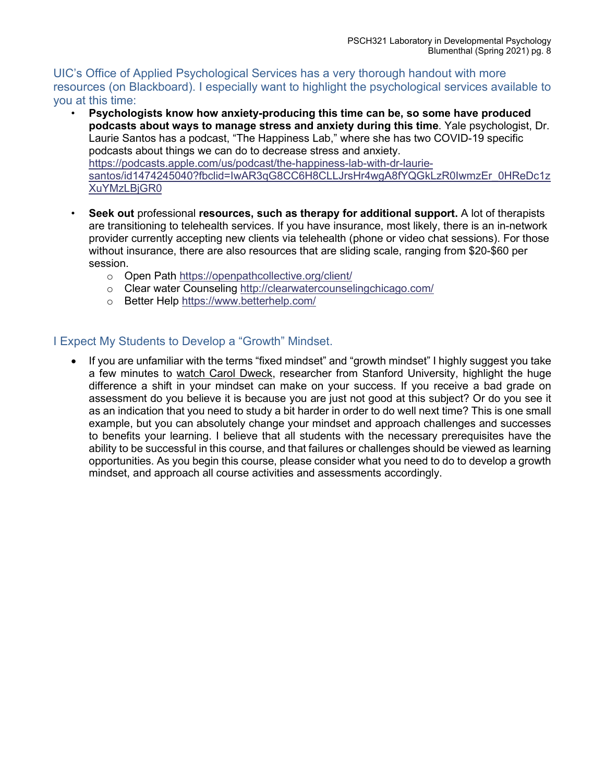UIC's Office of Applied Psychological Services has a very thorough handout with more resources (on Blackboard). I especially want to highlight the psychological services available to you at this time:

- **Psychologists know how anxiety-producing this time can be, so some have produced podcasts about ways to manage stress and anxiety during this time**. Yale psychologist, Dr. Laurie Santos has a podcast, "The Happiness Lab," where she has two COVID-19 specific podcasts about things we can do to decrease stress and anxiety. [https://podcasts.apple.com/us/podcast/the-happiness-lab-with-dr-laurie](https://podcasts.apple.com/us/podcast/the-happiness-lab-with-dr-laurie-santos/id1474245040?fbclid=IwAR3qG8CC6H8CLLJrsHr4wgA8fYQGkLzR0IwmzEr_0HReDc1zXuYMzLBjGR0)[santos/id1474245040?fbclid=IwAR3qG8CC6H8CLLJrsHr4wgA8fYQGkLzR0IwmzEr\\_0HReDc1z](https://podcasts.apple.com/us/podcast/the-happiness-lab-with-dr-laurie-santos/id1474245040?fbclid=IwAR3qG8CC6H8CLLJrsHr4wgA8fYQGkLzR0IwmzEr_0HReDc1zXuYMzLBjGR0) [XuYMzLBjGR0](https://podcasts.apple.com/us/podcast/the-happiness-lab-with-dr-laurie-santos/id1474245040?fbclid=IwAR3qG8CC6H8CLLJrsHr4wgA8fYQGkLzR0IwmzEr_0HReDc1zXuYMzLBjGR0)
- **Seek out** professional **resources, such as therapy for additional support.** A lot of therapists are transitioning to telehealth services. If you have insurance, most likely, there is an in-network provider currently accepting new clients via telehealth (phone or video chat sessions). For those without insurance, there are also resources that are sliding scale, ranging from \$20-\$60 per session.
	- o Open Path<https://openpathcollective.org/client/>
	- o Clear water Counseling<http://clearwatercounselingchicago.com/>
	- o Better Help<https://www.betterhelp.com/>

### I Expect My Students to Develop a "Growth" Mindset.

• If you are unfamiliar with the terms "fixed mindset" and "growth mindset" I highly suggest you take a few minutes to [watch Carol Dweck,](https://www.ted.com/talks/carol_dweck_the_power_of_believing_that_you_can_improve) researcher from Stanford University, highlight the huge difference a shift in your mindset can make on your success. If you receive a bad grade on assessment do you believe it is because you are just not good at this subject? Or do you see it as an indication that you need to study a bit harder in order to do well next time? This is one small example, but you can absolutely change your mindset and approach challenges and successes to benefits your learning. I believe that all students with the necessary prerequisites have the ability to be successful in this course, and that failures or challenges should be viewed as learning opportunities. As you begin this course, please consider what you need to do to develop a growth mindset, and approach all course activities and assessments accordingly.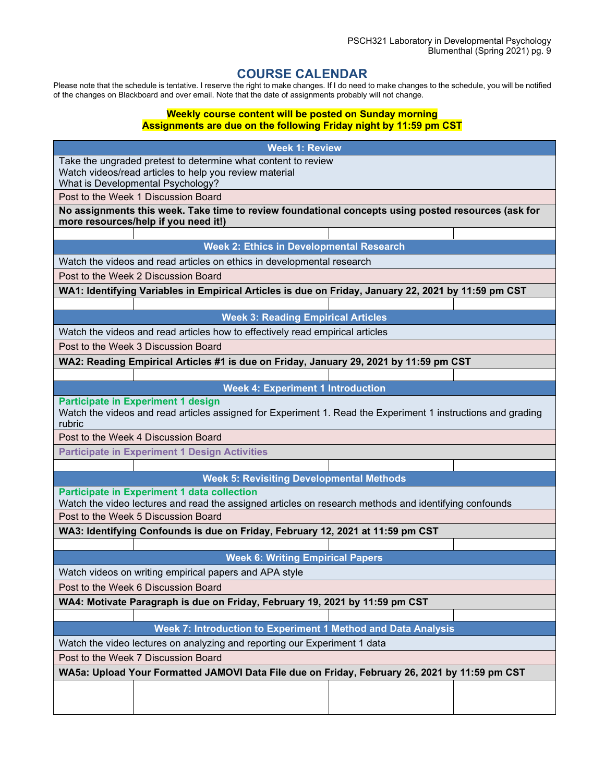### **COURSE CALENDAR**

Please note that the schedule is tentative. I reserve the right to make changes. If I do need to make changes to the schedule, you will be notified of the changes on Blackboard and over email. Note that the date of assignments probably will not change.

#### **Weekly course content will be posted on Sunday morning Assignments are due on the following Friday night by 11:59 pm CST**

| <b>Week 1: Review</b>                                                                                                                       |  |  |  |  |
|---------------------------------------------------------------------------------------------------------------------------------------------|--|--|--|--|
| Take the ungraded pretest to determine what content to review                                                                               |  |  |  |  |
| Watch videos/read articles to help you review material                                                                                      |  |  |  |  |
| What is Developmental Psychology?                                                                                                           |  |  |  |  |
| Post to the Week 1 Discussion Board                                                                                                         |  |  |  |  |
| No assignments this week. Take time to review foundational concepts using posted resources (ask for<br>more resources/help if you need it!) |  |  |  |  |
|                                                                                                                                             |  |  |  |  |
| <b>Week 2: Ethics in Developmental Research</b>                                                                                             |  |  |  |  |
| Watch the videos and read articles on ethics in developmental research                                                                      |  |  |  |  |
| Post to the Week 2 Discussion Board                                                                                                         |  |  |  |  |
| WA1: Identifying Variables in Empirical Articles is due on Friday, January 22, 2021 by 11:59 pm CST                                         |  |  |  |  |
|                                                                                                                                             |  |  |  |  |
| <b>Week 3: Reading Empirical Articles</b>                                                                                                   |  |  |  |  |
| Watch the videos and read articles how to effectively read empirical articles                                                               |  |  |  |  |
| Post to the Week 3 Discussion Board                                                                                                         |  |  |  |  |
| WA2: Reading Empirical Articles #1 is due on Friday, January 29, 2021 by 11:59 pm CST                                                       |  |  |  |  |
|                                                                                                                                             |  |  |  |  |
| <b>Week 4: Experiment 1 Introduction</b>                                                                                                    |  |  |  |  |
| <b>Participate in Experiment 1 design</b>                                                                                                   |  |  |  |  |
| Watch the videos and read articles assigned for Experiment 1. Read the Experiment 1 instructions and grading<br>rubric                      |  |  |  |  |
| Post to the Week 4 Discussion Board                                                                                                         |  |  |  |  |
| <b>Participate in Experiment 1 Design Activities</b>                                                                                        |  |  |  |  |
|                                                                                                                                             |  |  |  |  |
| <b>Week 5: Revisiting Developmental Methods</b>                                                                                             |  |  |  |  |
| <b>Participate in Experiment 1 data collection</b>                                                                                          |  |  |  |  |
| Watch the video lectures and read the assigned articles on research methods and identifying confounds                                       |  |  |  |  |
| Post to the Week 5 Discussion Board                                                                                                         |  |  |  |  |
| WA3: Identifying Confounds is due on Friday, February 12, 2021 at 11:59 pm CST                                                              |  |  |  |  |
| <b>Week 6: Writing Empirical Papers</b>                                                                                                     |  |  |  |  |
|                                                                                                                                             |  |  |  |  |
| Watch videos on writing empirical papers and APA style                                                                                      |  |  |  |  |
| Post to the Week 6 Discussion Board                                                                                                         |  |  |  |  |
| WA4: Motivate Paragraph is due on Friday, February 19, 2021 by 11:59 pm CST                                                                 |  |  |  |  |
|                                                                                                                                             |  |  |  |  |
| Week 7: Introduction to Experiment 1 Method and Data Analysis                                                                               |  |  |  |  |
| Watch the video lectures on analyzing and reporting our Experiment 1 data<br>Post to the Week 7 Discussion Board                            |  |  |  |  |
|                                                                                                                                             |  |  |  |  |
| WA5a: Upload Your Formatted JAMOVI Data File due on Friday, February 26, 2021 by 11:59 pm CST                                               |  |  |  |  |
|                                                                                                                                             |  |  |  |  |
|                                                                                                                                             |  |  |  |  |